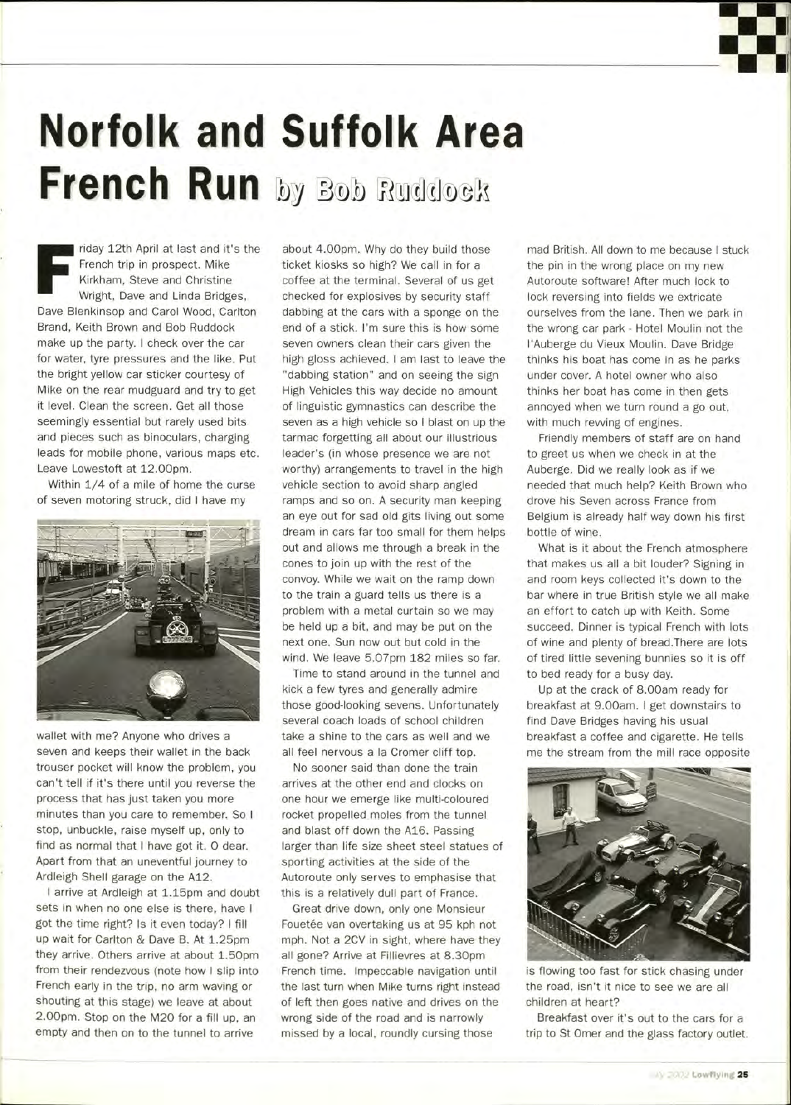## **Norfolk and Suffolk Area French Run by Bob Ruddock**

F riday 12th April at last and it's the French trip in prospect. Mike Kirkham, Steve and Christine Wright, Dave and Linda Bridges, Dave Blenkinsop and Carol Wood, Carlton Brand, Keith Brown and Bob Ruddock make up the party. I check over the car for water, tyre pressures and the like. Put the bright yellow car sticker courtesy of Mike on the rear mudguard and try to get it level. Clean the screen. Get all those seemingly essential but rarely used bits and pieces such as binoculars, charging leads for mobile phone, various maps etc. Leave Lowestoft at 12.00pm.

Within 1/4 of a mile of home the curse of seven motoring struck, did I have my



wallet with me? Anyone who drives a seven and keeps their wallet in the back trouser pocket will know the problem, you can't tell if it's there until you reverse the process that has just taken you more minutes than you care to remember. So I stop, unbuckle, raise myself up, only to find as normal that I have got it. O dear. Apart from that an uneventful journey to Ardleigh Shell garage on the A12.

I arrive at Ardleigh at 1.15pm and doubt sets in when no one else is there, have I got the time right? Is it even today? I fill up wait for Carlton & Dave B. At 1.25pm they arrive. Others arrive at about 1.50pm from their rendezvous (note how I slip into French early in the trip, no arm waving or shouting at this stage) we leave at about 2.00pm. Stop on the M20 for a fill up, an empty and then on to the tunnel to arrive

about 4.00pm. Why do they build those ticket kiosks so high? We call in for a coffee at the terminal. Several of us get checked for explosives by security staff dabbing at the cars with a sponge on the end of a stick. I'm sure this is how some seven owners clean their cars given the high gloss achieved. I am last to leave the "dabbing station" and on seeing the sign High Vehicles this way decide no amount of linguistic gymnastics can describe the seven as a high vehicle so I blast on up the tarmac forgetting all about our illustrious leader's (in whose presence we are not worthy) arrangements to travel in the high vehicle section to avoid sharp angled ramps and so on. A security man keeping an eye out for sad old gits living out some dream in cars far too small for them helps out and allows me through a break in the cones to join up with the rest of the convoy. While we wait on the ramp down to the train a guard tells us there is a to the train a guard tells us there is a<br>problem with a metal qurtain as we may problem with a metal curtain so we may<br>be held up a bit, and may be put on the be held up a bit, and may be put on the next one. Sun now out but cold in the<br>wind. We leave 5.07pm 182 miles so far.

Time to stand around in the tunnel and kick a few tyres and generally admire those good-looking sevens. Unfortunately several coach loads of school children take a shine to the cars as well and we all feel nervous a la Cromer cliff top.

No sooner said than done the train arrives at the other end and clocks on one hour we emerge like multi-coloured rocket propelled moles from the tunnel and blast off down the A16. Passing larger than life size sheet steel statues of sporting activities at the side of the Autoroute only serves to emphasise that this is a relatively dull part of France.

Great drive down, only one Monsieur Fouetée van overtaking us at 95 kph not mph. Not a 2CV in sight, where have they all gone? Arrive at Fillievres at 8.30pm French time. Impeccable navigation until the last turn when Mike turns right instead of left then goes native and drives on the wrong side of the road and is narrowly missed by a local, roundly cursing those

mad British. All down to me because I stuck the pin in the wrong place on my new Autoroute software! After much lock to lock reversing into fields we extricate ourselves from the lane. Then we park in the wrong car park - Hotel Moulin not the I'Auberge du Vieux Moulin. Dave Bridge thinks his boat has come in as he parks under cover. A hotel owner who also thinks her boat has come in then gets annoyed when we turn round a go out, with much revving of engines.

Friendly members of staff are on hand to greet us when we check in at the Auberge. Did we really look as if we needed that much help? Keith Brown who drove his Seven across France from Belgium is already half way down his first bottle of wine.

What is it about the French atmosphere that makes us all a bit louder? Signing in and room keys collected it's down to the bar where in true British style we all make an effort to catch up with Keith. Some succeed. Dinner is typical French with lots of wine and plenty of bread.There are lots of tired little sevening bunnies so it is off to bed ready for a busy day.

Up at the crack of 8.00am ready for breakfast at 9.00am. I get downstairs to find Dave Bridges having his usual breakfast a coffee and cigarette. He tells me the stream from the mill race opposite



is flowing too fast for stick chasing under the road, isn't it nice to see we are all children at heart?

Breakfast over it's out to the cars for a trip to St Omer and the glass factory outlet.